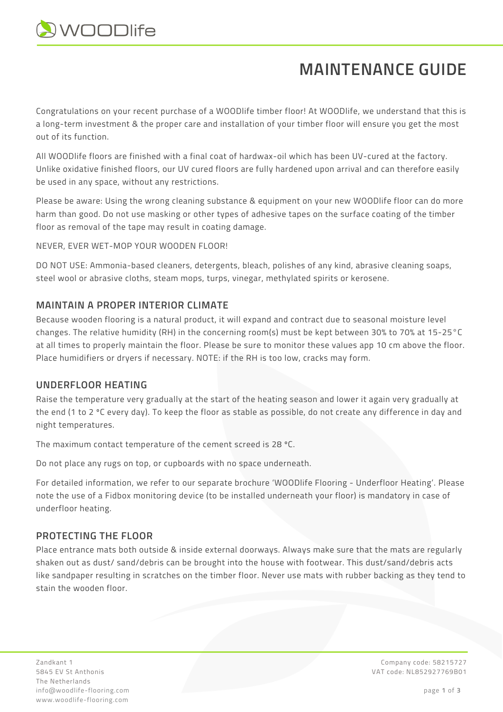

# **MAINTENANCE GUIDE**

Congratulations on your recent purchase of a WOODlife timber floor! At WOODlife, we understand that this is a long-term investment & the proper care and installation of your timber floor will ensure you get the most out of its function.

All WOODlife floors are finished with a final coat of hardwax-oil which has been UV-cured at the factory. Unlike oxidative finished floors, our UV cured floors are fully hardened upon arrival and can therefore easily be used in any space, without any restrictions.

Please be aware: Using the wrong cleaning substance & equipment on your new WOODlife floor can do more harm than good. Do not use masking or other types of adhesive tapes on the surface coating of the timber floor as removal of the tape may result in coating damage.

NEVER, EVER WET-MOP YOUR WOODEN FLOOR!

DO NOT USE: Ammonia-based cleaners, detergents, bleach, polishes of any kind, abrasive cleaning soaps, steel wool or abrasive cloths, steam mops, turps, vinegar, methylated spirits or kerosene.

## **MAINTAIN A PROPER INTERIOR CLIMATE**

Because wooden flooring is a natural product, it will expand and contract due to seasonal moisture level changes. The relative humidity (RH) in the concerning room(s) must be kept between 30% to 70% at 15-25°C at all times to properly maintain the floor. Please be sure to monitor these values app 10 cm above the floor. Place humidifiers or dryers if necessary. NOTE: if the RH is too low, cracks may form.

## **UNDERFLOOR HEATING**

Raise the temperature very gradually at the start of the heating season and lower it again very gradually at the end (1 to 2 ºC every day). To keep the floor as stable as possible, do not create any difference in day and night temperatures.

The maximum contact temperature of the cement screed is 28 ºC.

Do not place any rugs on top, or cupboards with no space underneath.

For detailed information, we refer to our separate brochure 'WOODlife Flooring - Underfloor Heating'. Please note the use of a Fidbox monitoring device (to be installed underneath your floor) is mandatory in case of underfloor heating.

# **PROTECTING THE FLOOR**

Place entrance mats both outside & inside external doorways. Always make sure that the mats are regularly shaken out as dust/ sand/debris can be brought into the house with footwear. This dust/sand/debris acts like sandpaper resulting in scratches on the timber floor. Never use mats with rubber backing as they tend to stain the wooden floor.

Zandkant 1 Company code: 58215727 The Netherlands info@woodlife-flooring.com page **1** of **3** www.woodlife-flooring.com

5845 EV St Anthonis VAT code: NL852927769B01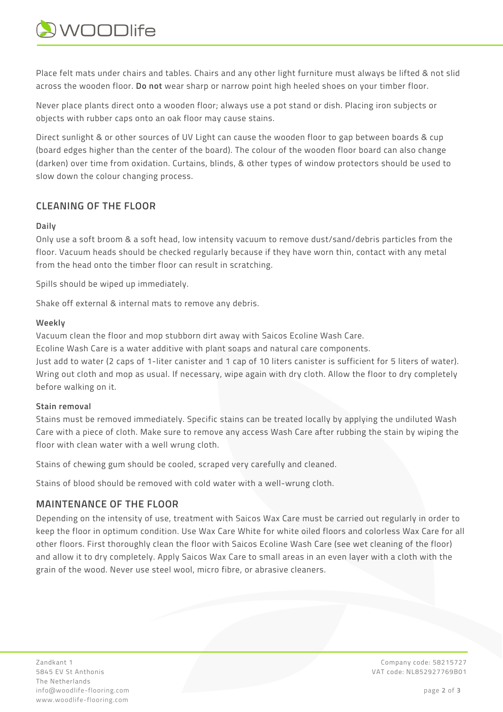

Place felt mats under chairs and tables. Chairs and any other light furniture must always be lifted & not slid across the wooden floor. **Do not** wear sharp or narrow point high heeled shoes on your timber floor.

Never place plants direct onto a wooden floor; always use a pot stand or dish. Placing iron subjects or objects with rubber caps onto an oak floor may cause stains.

Direct sunlight & or other sources of UV Light can cause the wooden floor to gap between boards & cup (board edges higher than the center of the board). The colour of the wooden floor board can also change (darken) over time from oxidation. Curtains, blinds, & other types of window protectors should be used to slow down the colour changing process.

# **CLEANING OF THE FLOOR**

#### **Daily**

Only use a soft broom & a soft head, low intensity vacuum to remove dust/sand/debris particles from the floor. Vacuum heads should be checked regularly because if they have worn thin, contact with any metal from the head onto the timber floor can result in scratching.

Spills should be wiped up immediately.

Shake off external & internal mats to remove any debris.

#### **Weekly**

Vacuum clean the floor and mop stubborn dirt away with Saicos Ecoline Wash Care.

Ecoline Wash Care is a water additive with plant soaps and natural care components.

Just add to water (2 caps of 1-liter canister and 1 cap of 10 liters canister is sufficient for 5 liters of water). Wring out cloth and mop as usual. If necessary, wipe again with dry cloth. Allow the floor to dry completely before walking on it.

#### **Stain removal**

Stains must be removed immediately. Specific stains can be treated locally by applying the undiluted Wash Care with a piece of cloth. Make sure to remove any access Wash Care after rubbing the stain by wiping the floor with clean water with a well wrung cloth.

Stains of chewing gum should be cooled, scraped very carefully and cleaned.

Stains of blood should be removed with cold water with a well-wrung cloth.

# **MAINTENANCE OF THE FLOOR**

Depending on the intensity of use, treatment with Saicos Wax Care must be carried out regularly in order to keep the floor in optimum condition. Use Wax Care White for white oiled floors and colorless Wax Care for all other floors. First thoroughly clean the floor with Saicos Ecoline Wash Care (see wet cleaning of the floor) and allow it to dry completely. Apply Saicos Wax Care to small areas in an even layer with a cloth with the grain of the wood. Never use steel wool, micro fibre, or abrasive cleaners.

Zandkant 1 Company code: 58215727 5845 EV St Anthonis VAT code: NL852927769B01 The Netherlands info@woodlife-flooring.com page **2** of **3** www.woodlife-flooring.com